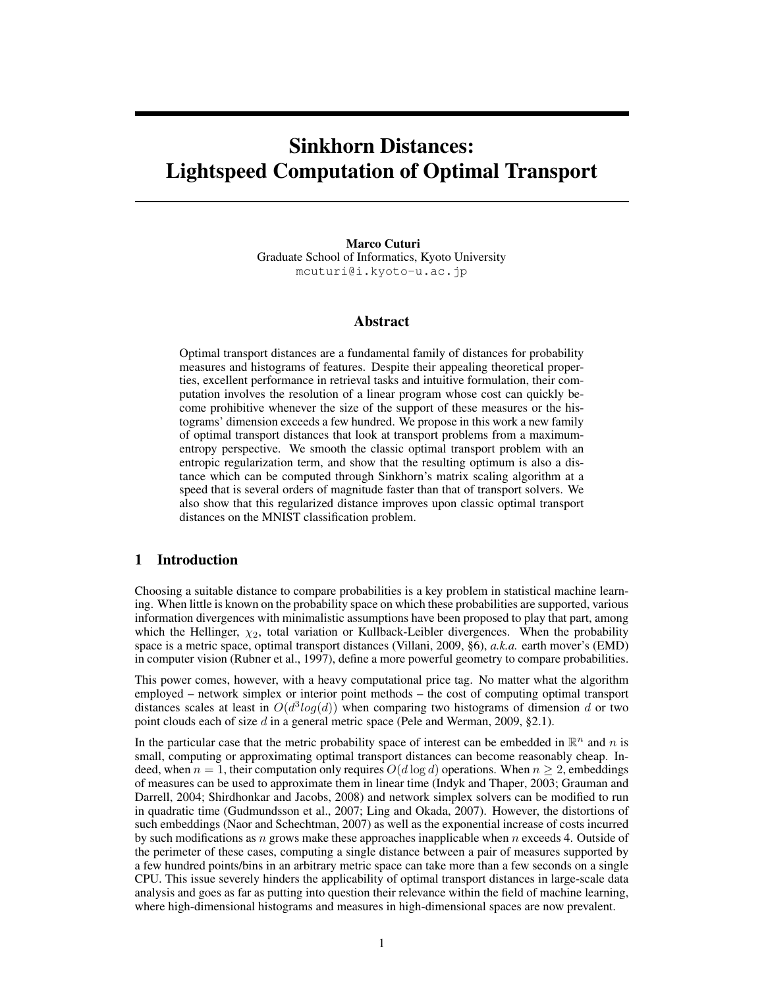# Sinkhorn Distances: Lightspeed Computation of Optimal Transport

Marco Cuturi Graduate School of Informatics, Kyoto University mcuturi@i.kyoto-u.ac.jp

# Abstract

Optimal transport distances are a fundamental family of distances for probability measures and histograms of features. Despite their appealing theoretical properties, excellent performance in retrieval tasks and intuitive formulation, their computation involves the resolution of a linear program whose cost can quickly become prohibitive whenever the size of the support of these measures or the histograms' dimension exceeds a few hundred. We propose in this work a new family of optimal transport distances that look at transport problems from a maximumentropy perspective. We smooth the classic optimal transport problem with an entropic regularization term, and show that the resulting optimum is also a distance which can be computed through Sinkhorn's matrix scaling algorithm at a speed that is several orders of magnitude faster than that of transport solvers. We also show that this regularized distance improves upon classic optimal transport distances on the MNIST classification problem.

## 1 Introduction

Choosing a suitable distance to compare probabilities is a key problem in statistical machine learning. When little is known on the probability space on which these probabilities are supported, various information divergences with minimalistic assumptions have been proposed to play that part, among which the Hellinger,  $\chi_2$ , total variation or Kullback-Leibler divergences. When the probability space is a metric space, optimal transport distances (Villani, 2009, §6), *a.k.a.* earth mover's (EMD) in computer vision (Rubner et al., 1997), define a more powerful geometry to compare probabilities.

This power comes, however, with a heavy computational price tag. No matter what the algorithm employed – network simplex or interior point methods – the cost of computing optimal transport distances scales at least in  $O(d^3 log(d))$  when comparing two histograms of dimension d or two point clouds each of size  $d$  in a general metric space (Pele and Werman, 2009, §2.1).

In the particular case that the metric probability space of interest can be embedded in  $\mathbb{R}^n$  and n is small, computing or approximating optimal transport distances can become reasonably cheap. Indeed, when  $n = 1$ , their computation only requires  $O(d \log d)$  operations. When  $n \geq 2$ , embeddings of measures can be used to approximate them in linear time (Indyk and Thaper, 2003; Grauman and Darrell, 2004; Shirdhonkar and Jacobs, 2008) and network simplex solvers can be modified to run in quadratic time (Gudmundsson et al., 2007; Ling and Okada, 2007). However, the distortions of such embeddings (Naor and Schechtman, 2007) as well as the exponential increase of costs incurred by such modifications as n grows make these approaches inapplicable when  $n$  exceeds 4. Outside of the perimeter of these cases, computing a single distance between a pair of measures supported by a few hundred points/bins in an arbitrary metric space can take more than a few seconds on a single CPU. This issue severely hinders the applicability of optimal transport distances in large-scale data analysis and goes as far as putting into question their relevance within the field of machine learning, where high-dimensional histograms and measures in high-dimensional spaces are now prevalent.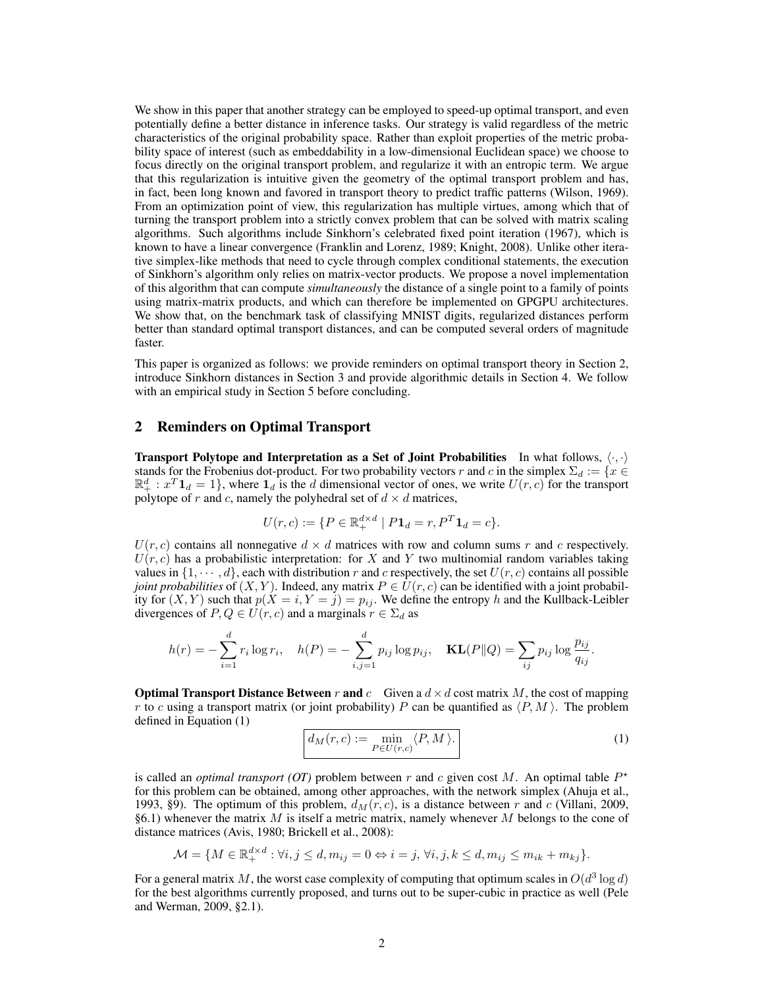We show in this paper that another strategy can be employed to speed-up optimal transport, and even potentially define a better distance in inference tasks. Our strategy is valid regardless of the metric characteristics of the original probability space. Rather than exploit properties of the metric probability space of interest (such as embeddability in a low-dimensional Euclidean space) we choose to focus directly on the original transport problem, and regularize it with an entropic term. We argue that this regularization is intuitive given the geometry of the optimal transport problem and has, in fact, been long known and favored in transport theory to predict traffic patterns (Wilson, 1969). From an optimization point of view, this regularization has multiple virtues, among which that of turning the transport problem into a strictly convex problem that can be solved with matrix scaling algorithms. Such algorithms include Sinkhorn's celebrated fixed point iteration (1967), which is known to have a linear convergence (Franklin and Lorenz, 1989; Knight, 2008). Unlike other iterative simplex-like methods that need to cycle through complex conditional statements, the execution of Sinkhorn's algorithm only relies on matrix-vector products. We propose a novel implementation of this algorithm that can compute *simultaneously* the distance of a single point to a family of points using matrix-matrix products, and which can therefore be implemented on GPGPU architectures. We show that, on the benchmark task of classifying MNIST digits, regularized distances perform better than standard optimal transport distances, and can be computed several orders of magnitude faster.

This paper is organized as follows: we provide reminders on optimal transport theory in Section 2, introduce Sinkhorn distances in Section 3 and provide algorithmic details in Section 4. We follow with an empirical study in Section 5 before concluding.

#### 2 Reminders on Optimal Transport

**Transport Polytope and Interpretation as a Set of Joint Probabilities** In what follows,  $\langle \cdot, \cdot \rangle$ stands for the Frobenius dot-product. For two probability vectors r and c in the simplex  $\Sigma_d := \{x \in$  $\mathbb{R}^d_+ : x^T \mathbf{1}_d = 1$ , where  $\mathbf{1}_d$  is the d dimensional vector of ones, we write  $U(r, c)$  for the transport polytope of r and c, namely the polyhedral set of  $d \times d$  matrices,

$$
U(r,c) := \{ P \in \mathbb{R}_+^{d \times d} \mid P \mathbf{1}_d = r, P^T \mathbf{1}_d = c \}.
$$

 $U(r, c)$  contains all nonnegative  $d \times d$  matrices with row and column sums r and c respectively.  $U(r, c)$  has a probabilistic interpretation: for X and Y two multinomial random variables taking values in  $\{1, \dots, d\}$ , each with distribution r and c respectively, the set  $U(r, c)$  contains all possible *joint probabilities* of  $(X, Y)$ . Indeed, any matrix  $P \in U(r, c)$  can be identified with a joint probability for  $(X, Y)$  such that  $p(X = i, Y = j) = p_{ij}$ . We define the entropy h and the Kullback-Leibler divergences of  $P, Q \in U(r, c)$  and a marginals  $r \in \Sigma_d$  as

$$
h(r) = -\sum_{i=1}^{d} r_i \log r_i, \quad h(P) = -\sum_{i,j=1}^{d} p_{ij} \log p_{ij}, \quad \mathbf{KL}(P||Q) = \sum_{ij} p_{ij} \log \frac{p_{ij}}{q_{ij}}.
$$

**Optimal Transport Distance Between** r and c Given a  $d \times d$  cost matrix M, the cost of mapping r to c using a transport matrix (or joint probability) P can be quantified as  $\langle P, M \rangle$ . The problem defined in Equation (1)

$$
d_M(r,c) := \min_{P \in U(r,c)} \langle P, M \rangle.
$$
 (1)

is called an *optimal transport (OT)* problem between r and c given cost M. An optimal table  $P^*$ for this problem can be obtained, among other approaches, with the network simplex (Ahuja et al., 1993, §9). The optimum of this problem,  $d_M(r, c)$ , is a distance between r and c (Villani, 2009,  $§6.1)$  whenever the matrix M is itself a metric matrix, namely whenever M belongs to the cone of distance matrices (Avis, 1980; Brickell et al., 2008):

$$
\mathcal{M} = \{ M \in \mathbb{R}_+^{d \times d} : \forall i, j \le d, m_{ij} = 0 \Leftrightarrow i = j, \forall i, j, k \le d, m_{ij} \le m_{ik} + m_{kj} \}.
$$

For a general matrix M, the worst case complexity of computing that optimum scales in  $O(d^3 \log d)$ for the best algorithms currently proposed, and turns out to be super-cubic in practice as well (Pele and Werman, 2009, §2.1).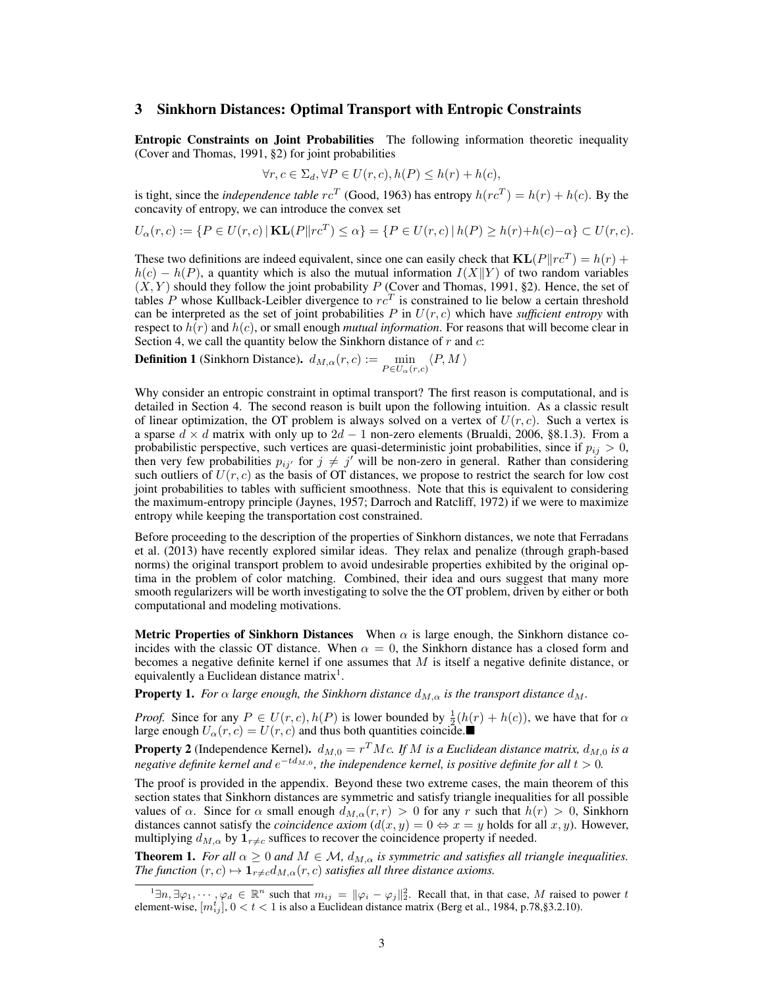# 3 Sinkhorn Distances: Optimal Transport with Entropic Constraints

Entropic Constraints on Joint Probabilities The following information theoretic inequality (Cover and Thomas, 1991, §2) for joint probabilities

$$
\forall r, c \in \Sigma_d, \forall P \in U(r, c), h(P) \leq h(r) + h(c),
$$

is tight, since the *independence table*  $rc^T$  (Good, 1963) has entropy  $h(rc^T) = h(r) + h(c)$ . By the concavity of entropy, we can introduce the convex set

$$
U_{\alpha}(r, c) := \{ P \in U(r, c) \mid \mathbf{KL}(P \| rc^T) \le \alpha \} = \{ P \in U(r, c) \mid h(P) \ge h(r) + h(c) - \alpha \} \subset U(r, c).
$$

These two definitions are indeed equivalent, since one can easily check that  $KL(P||rc^T) = h(r) +$  $h(c) - h(P)$ , a quantity which is also the mutual information  $I(X||Y)$  of two random variables  $(X, Y)$  should they follow the joint probability P (Cover and Thomas, 1991, §2). Hence, the set of tables P whose Kullback-Leibler divergence to  $rc<sup>T</sup>$  is constrained to lie below a certain threshold can be interpreted as the set of joint probabilities  $P$  in  $U(r, c)$  which have *sufficient entropy* with respect to  $h(r)$  and  $h(c)$ , or small enough *mutual information*. For reasons that will become clear in Section 4, we call the quantity below the Sinkhorn distance of  $r$  and  $c$ :

**Definition 1** (Sinkhorn Distance).  $d_{M,\alpha}(r,c) := \min_{P \in U_{\alpha}(r,c)} \langle P, M \rangle$ 

Why consider an entropic constraint in optimal transport? The first reason is computational, and is detailed in Section 4. The second reason is built upon the following intuition. As a classic result of linear optimization, the OT problem is always solved on a vertex of  $U(r, c)$ . Such a vertex is a sparse  $d \times d$  matrix with only up to  $2d - 1$  non-zero elements (Brualdi, 2006, §8.1.3). From a probabilistic perspective, such vertices are quasi-deterministic joint probabilities, since if  $p_{ij} > 0$ , then very few probabilities  $p_{ij}$  for  $j \neq j'$  will be non-zero in general. Rather than considering such outliers of  $U(r, c)$  as the basis of OT distances, we propose to restrict the search for low cost joint probabilities to tables with sufficient smoothness. Note that this is equivalent to considering the maximum-entropy principle (Jaynes, 1957; Darroch and Ratcliff, 1972) if we were to maximize entropy while keeping the transportation cost constrained.

Before proceeding to the description of the properties of Sinkhorn distances, we note that Ferradans et al. (2013) have recently explored similar ideas. They relax and penalize (through graph-based norms) the original transport problem to avoid undesirable properties exhibited by the original optima in the problem of color matching. Combined, their idea and ours suggest that many more smooth regularizers will be worth investigating to solve the the OT problem, driven by either or both computational and modeling motivations.

Metric Properties of Sinkhorn Distances When  $\alpha$  is large enough, the Sinkhorn distance coincides with the classic OT distance. When  $\alpha = 0$ , the Sinkhorn distance has a closed form and becomes a negative definite kernel if one assumes that  $M$  is itself a negative definite distance, or equivalently a Euclidean distance matrix<sup>1</sup>.

**Property 1.** *For*  $\alpha$  *large enough, the Sinkhorn distance*  $d_{M,\alpha}$  *is the transport distance*  $d_M$ .

*Proof.* Since for any  $P \in U(r, c)$ ,  $h(P)$  is lower bounded by  $\frac{1}{2}(h(r) + h(c))$ , we have that for  $\alpha$ large enough  $U_{\alpha}(r, c) = U(r, c)$  and thus both quantities coincide.

**Property 2** (Independence Kernel).  $d_{M,0} = r^T M c$ . If M is a Euclidean distance matrix,  $d_{M,0}$  is a negative definite kernel and  $e^{-td_{M,0}}$ , the independence kernel, is positive definite for all  $t > 0$ .

The proof is provided in the appendix. Beyond these two extreme cases, the main theorem of this section states that Sinkhorn distances are symmetric and satisfy triangle inequalities for all possible values of  $\alpha$ . Since for  $\alpha$  small enough  $d_{M,\alpha}(r,r) > 0$  for any r such that  $h(r) > 0$ , Sinkhorn distances cannot satisfy the *coincidence* axiom  $(d(x, y) = 0 \Leftrightarrow x = y$  holds for all x, y). However, multiplying  $d_{M,\alpha}$  by  $\mathbf{1}_{r\neq c}$  suffices to recover the coincidence property if needed.

**Theorem 1.** *For all*  $\alpha \geq 0$  *and*  $M \in \mathcal{M}$ ,  $d_{M,\alpha}$  *is symmetric and satisfies all triangle inequalities. The function*  $(r, c) \mapsto \mathbf{1}_{r \neq c} d_{M, \alpha}(r, c)$  *satisfies all three distance axioms.* 

 $1 \exists n, \exists \varphi_1, \cdots, \varphi_d \in \mathbb{R}^n$  such that  $m_{ij} = ||\varphi_i - \varphi_j||_2^2$ . Recall that, in that case, M raised to power t element-wise,  $[m_{ij}^t]$ ,  $0 < t < 1$  is also a Euclidean distance matrix (Berg et al., 1984, p.78, §3.2.10).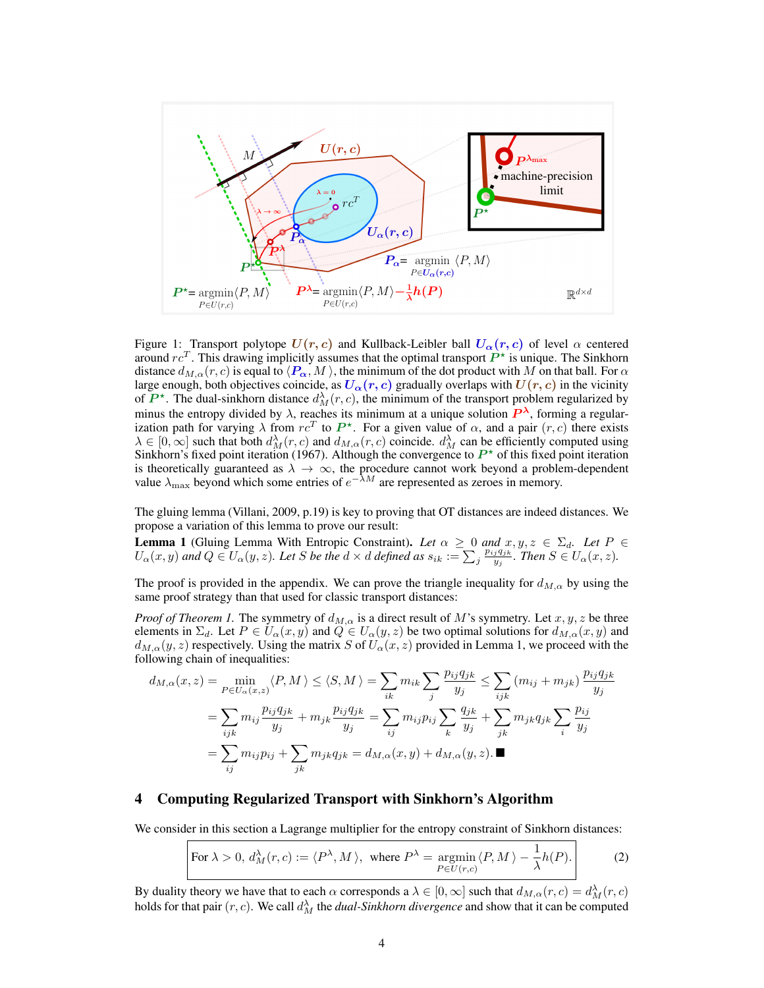

Figure 1: Transport polytope  $U(r, c)$  and Kullback-Leibler ball  $U_{\alpha}(r, c)$  of level  $\alpha$  centered around  $rc^T$ . This drawing implicitly assumes that the optimal transport  $\overrightarrow{P^*}$  is unique. The Sinkhorn distance  $d_{M,\alpha}(r, c)$  is equal to  $\langle P_\alpha, M \rangle$ , the minimum of the dot product with M on that ball. For  $\alpha$ large enough, both objectives coincide, as  $U_{\alpha}(r, c)$  gradually overlaps with  $U(r, c)$  in the vicinity of  $\mathbf{P}^*$ . The dual-sinkhorn distance  $d_M^{\lambda}(r, c)$ , the minimum of the transport problem regularized by minus the entropy divided by  $\lambda$ , reaches its minimum at a unique solution  $P^{\lambda}$ , forming a regularization path for varying  $\lambda$  from  $rc^T$  to  $P^*$ . For a given value of  $\alpha$ , and a pair  $(r, c)$  there exists  $\lambda \in [0,\infty]$  such that both  $d_M^{\lambda}(r,c)$  and  $d_{M,\alpha}(r,c)$  coincide.  $d_M^{\lambda}$  can be efficiently computed using Sinkhorn's fixed point iteration (1967). Although the convergence to  $P^*$  of this fixed point iteration is theoretically guaranteed as  $\lambda \to \infty$ , the procedure cannot work beyond a problem-dependent value  $\lambda_{\text{max}}$  beyond which some entries of  $e^{-\lambda M}$  are represented as zeroes in memory.

The gluing lemma (Villani, 2009, p.19) is key to proving that OT distances are indeed distances. We propose a variation of this lemma to prove our result:

**Lemma 1** (Gluing Lemma With Entropic Constraint). Let  $\alpha \geq 0$  and  $x, y, z \in \Sigma_d$ . Let  $P \in$  $U_{\alpha}(x,y)$  and  $Q \in U_{\alpha}(y,z)$ . Let S be the  $d \times d$  defined as  $s_{ik} := \sum_j \frac{p_{ij}q_{jk}}{y_j}$  $\frac{y}{y_j}$ . Then  $S \in U_\alpha(x,z)$ .

The proof is provided in the appendix. We can prove the triangle inequality for  $d_{M,\alpha}$  by using the same proof strategy than that used for classic transport distances:

*Proof of Theorem 1.* The symmetry of  $d_{M,\alpha}$  is a direct result of M's symmetry. Let  $x, y, z$  be three elements in  $\Sigma_d$ . Let  $P \in U_\alpha(x, y)$  and  $Q \in U_\alpha(y, z)$  be two optimal solutions for  $d_{M,\alpha}(x, y)$  and  $d_{M,\alpha}(y, z)$  respectively. Using the matrix S of  $U_{\alpha}(x, z)$  provided in Lemma 1, we proceed with the following chain of inequalities:

$$
d_{M,\alpha}(x,z) = \min_{P \in U_{\alpha}(x,z)} \langle P, M \rangle \leq \langle S, M \rangle = \sum_{ik} m_{ik} \sum_{j} \frac{p_{ij} q_{jk}}{y_j} \leq \sum_{ijk} (m_{ij} + m_{jk}) \frac{p_{ij} q_{jk}}{y_j}
$$
  

$$
= \sum_{ijk} m_{ij} \frac{p_{ij} q_{jk}}{y_j} + m_{jk} \frac{p_{ij} q_{jk}}{y_j} = \sum_{ij} m_{ij} p_{ij} \sum_{k} \frac{q_{jk}}{y_j} + \sum_{jk} m_{jk} q_{jk} \sum_{i} \frac{p_{ij}}{y_j}
$$
  

$$
= \sum_{ij} m_{ij} p_{ij} + \sum_{jk} m_{jk} q_{jk} = d_{M,\alpha}(x,y) + d_{M,\alpha}(y,z). \blacksquare
$$

#### 4 Computing Regularized Transport with Sinkhorn's Algorithm

We consider in this section a Lagrange multiplier for the entropy constraint of Sinkhorn distances:

For 
$$
\lambda > 0
$$
,  $d_M^{\lambda}(r, c) := \langle P^{\lambda}, M \rangle$ , where  $P^{\lambda} = \operatorname*{argmin}_{P \in U(r, c)} \langle P, M \rangle - \frac{1}{\lambda} h(P)$ . (2)

By duality theory we have that to each  $\alpha$  corresponds a  $\lambda \in [0,\infty]$  such that  $d_{M,\alpha}(r,c) = d_M^{\lambda}(r,c)$ holds for that pair  $(r, c)$ . We call  $d_M^{\lambda}$  the *dual-Sinkhorn divergence* and show that it can be computed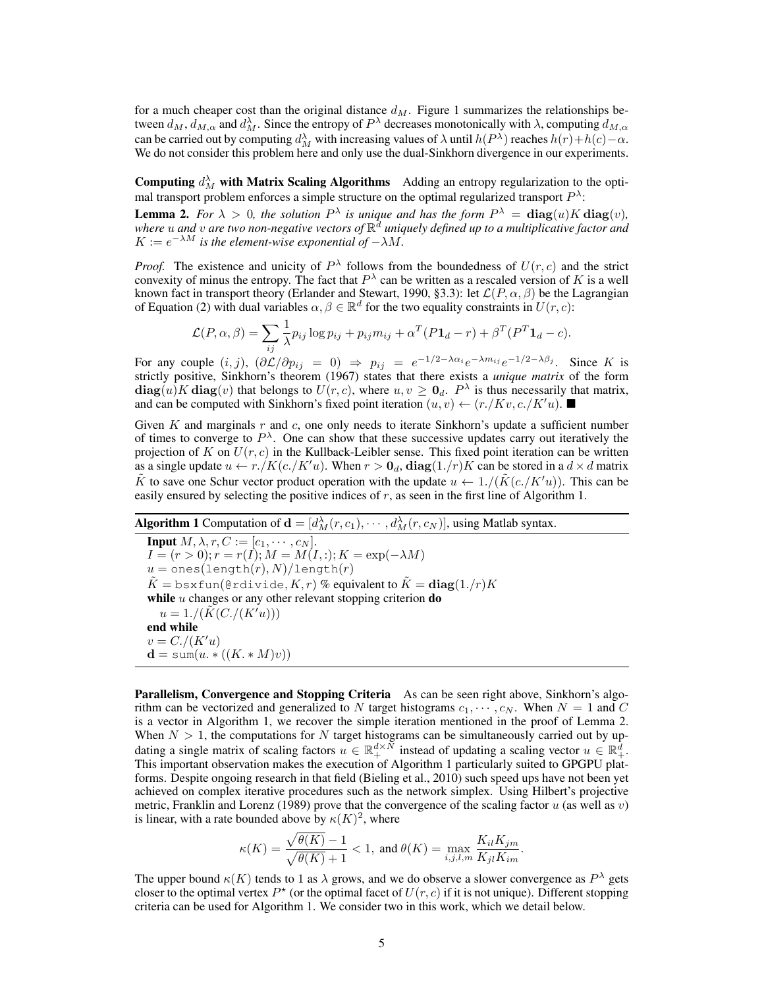for a much cheaper cost than the original distance  $d_M$ . Figure 1 summarizes the relationships between  $d_M$ ,  $d_{M,\alpha}$  and  $d_M^{\lambda}$ . Since the entropy of  $P^{\lambda}$  decreases monotonically with  $\lambda$ , computing  $d_{M,\alpha}$ can be carried out by computing  $d_M^{\lambda}$  with increasing values of  $\lambda$  until  $h(P^{\lambda})$  reaches  $h(r)+h(c)-\alpha$ . We do not consider this problem here and only use the dual-Sinkhorn divergence in our experiments.

Computing  $d_M^{\lambda}$  with Matrix Scaling Algorithms Adding an entropy regularization to the optimal transport problem enforces a simple structure on the optimal regularized transport  $P^{\lambda}$ :

**Lemma 2.** For  $\lambda > 0$ , the solution  $P^{\lambda}$  is unique and has the form  $P^{\lambda} = \text{diag}(u)K \text{diag}(v)$ , *where* u *and* v *are two non-negative vectors of* R <sup>d</sup> *uniquely defined up to a multiplicative factor and*  $K := e^{-\lambda M}$  is the element-wise exponential of  $-\lambda M$ .

*Proof.* The existence and unicity of  $P^{\lambda}$  follows from the boundedness of  $U(r, c)$  and the strict convexity of minus the entropy. The fact that  $P^{\lambda}$  can be written as a rescaled version of K is a well known fact in transport theory (Erlander and Stewart, 1990, §3.3): let  $\mathcal{L}(P,\alpha,\beta)$  be the Lagrangian of Equation (2) with dual variables  $\alpha, \beta \in \mathbb{R}^d$  for the two equality constraints in  $U(r, c)$ :

$$
\mathcal{L}(P,\alpha,\beta) = \sum_{ij} \frac{1}{\lambda} p_{ij} \log p_{ij} + p_{ij} m_{ij} + \alpha^T (P \mathbf{1}_d - r) + \beta^T (P^T \mathbf{1}_d - c).
$$

For any couple  $(i, j)$ ,  $(\partial \mathcal{L}/\partial p_{ij} = 0) \Rightarrow p_{ij} = e^{-1/2 - \lambda \alpha_i} e^{-\lambda m_{ij}} e^{-1/2 - \lambda \beta_j}$ . Since K is strictly positive, Sinkhorn's theorem (1967) states that there exists a *unique matrix* of the form  $diag(u)K diag(v)$  that belongs to  $U(r, c)$ , where  $u, v \ge 0_d$ .  $P^{\lambda}$  is thus necessarily that matrix, and can be computed with Sinkhorn's fixed point iteration  $(u, v) \leftarrow (r./Kv, c./K'u)$ .

Given  $K$  and marginals  $r$  and  $c$ , one only needs to iterate Sinkhorn's update a sufficient number of times to converge to  $P^{\lambda}$ . One can show that these successive updates carry out iteratively the projection of K on  $U(r, c)$  in the Kullback-Leibler sense. This fixed point iteration can be written as a single update  $u \leftarrow r./K(c./K'u)$ . When  $r > 0_d$ ,  $diag(1./r)K$  can be stored in a  $d \times d$  matrix K to save one Schur vector product operation with the update  $u \leftarrow 1/(K(c)/K'u)$ . This can be easily ensured by selecting the positive indices of  $r$ , as seen in the first line of Algorithm 1.

**Algorithm 1** Computation of  $\mathbf{d} = [d_M^{\lambda}(r, c_1), \cdots, d_M^{\lambda}(r, c_N)]$ , using Matlab syntax.

**Input**  $M, \lambda, r, C := [c_1, \cdots, c_N].$  $I = (r > 0); r = r(I); M = M(I,:); K = \exp(-\lambda M)$  $u = \text{ones}(\text{length}(r), N)/\text{length}(r)$  $\tilde{K} =$  bsxfun(@rdivide,  $K, r)$  % equivalent to  $\tilde{K} =$   $\mathbf{diag}(1./r)K$ while  $u$  changes or any other relevant stopping criterion  $\bf{do}$  $u = 1./(K(C)/(K'u)))$ end while  $v = C_{\cdot}/(K'u)$  $\mathbf{d} = \text{sum}(u \cdot * ((K \cdot * M)v))$ 

Parallelism, Convergence and Stopping Criteria As can be seen right above, Sinkhorn's algorithm can be vectorized and generalized to N target histograms  $c_1, \dots, c_N$ . When  $N = 1$  and C is a vector in Algorithm 1, we recover the simple iteration mentioned in the proof of Lemma 2. When  $N > 1$ , the computations for N target histograms can be simultaneously carried out by updating a single matrix of scaling factors  $u \in \mathbb{R}_+^{d \times N}$  instead of updating a scaling vector  $u \in \mathbb{R}_+^d$ . This important observation makes the execution of Algorithm 1 particularly suited to GPGPU platforms. Despite ongoing research in that field (Bieling et al., 2010) such speed ups have not been yet achieved on complex iterative procedures such as the network simplex. Using Hilbert's projective metric, Franklin and Lorenz (1989) prove that the convergence of the scaling factor  $u$  (as well as  $v$ ) is linear, with a rate bounded above by  $\kappa(K)^2$ , where

$$
\kappa(K) = \frac{\sqrt{\theta(K)}-1}{\sqrt{\theta(K)}+1} < 1, \text{ and } \theta(K) = \max_{i,j,l,m} \frac{K_{il}K_{jm}}{K_{jl}K_{im}}
$$

.

The upper bound  $\kappa(K)$  tends to 1 as  $\lambda$  grows, and we do observe a slower convergence as  $P^{\lambda}$  gets closer to the optimal vertex  $P^*$  (or the optimal facet of  $U(r, c)$  if it is not unique). Different stopping criteria can be used for Algorithm 1. We consider two in this work, which we detail below.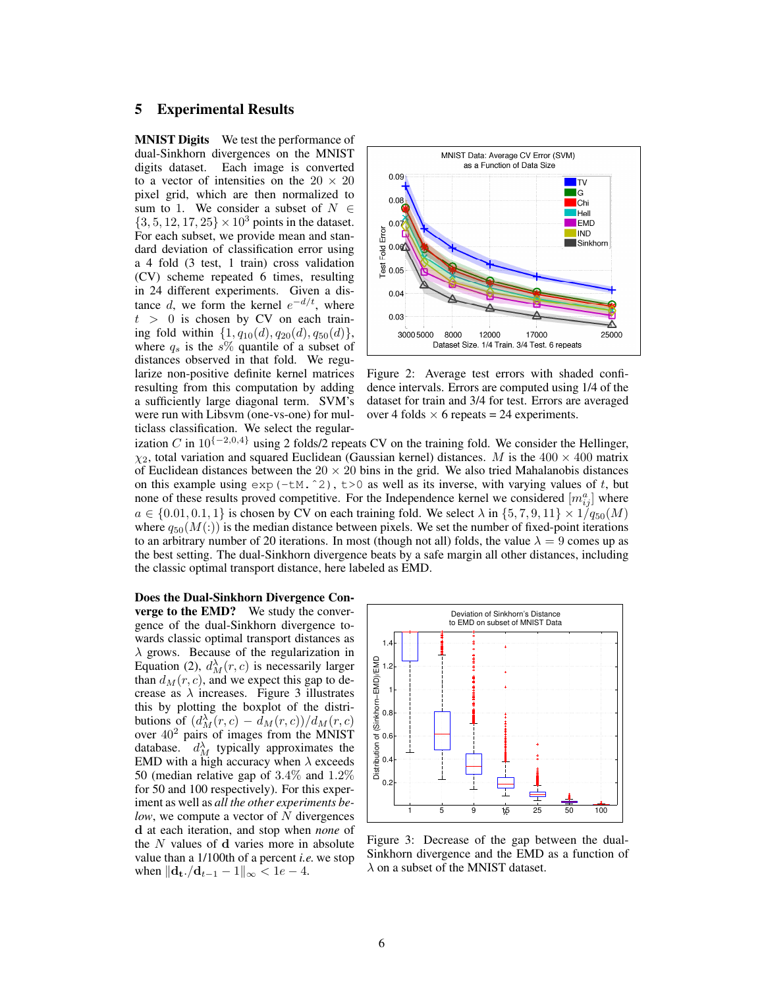# 5 Experimental Results

**MNIST Digits** We test the performance of dual-Sinkhorn divergences on the MNIST digits dataset. Each image is converted to a vector of intensities on the  $20 \times 20$ pixel grid, which are then normalized to sum to 1. We consider a subset of  $N \in$  $\{3, 5, 12, 17, 25\} \times 10^3$  points in the dataset. For each subset, we provide mean and standard deviation of classification error using a 4 fold (3 test, 1 train) cross validation (CV) scheme repeated 6 times, resulting in 24 different experiments. Given a distance d, we form the kernel  $e^{-d/t}$ , where  $t > 0$  is chosen by CV on each training fold within  $\{1, q_{10}(d), q_{20}(d), q_{50}(d)\},$ where  $q_s$  is the s% quantile of a subset of distances observed in that fold. We regularize non-positive definite kernel matrices resulting from this computation by adding a sufficiently large diagonal term. SVM's were run with Libsvm (one-vs-one) for multiclass classification. We select the regular-



Figure 2: Average test errors with shaded confidence intervals. Errors are computed using 1/4 of the dataset for train and 3/4 for test. Errors are averaged over 4 folds  $\times$  6 repeats = 24 experiments.

ization C in  $10^{-2,0,4}$  using 2 folds/2 repeats CV on the training fold. We consider the Hellinger,  $\chi_2$ , total variation and squared Euclidean (Gaussian kernel) distances. M is the 400  $\times$  400 matrix of Euclidean distances between the  $20 \times 20$  bins in the grid. We also tried Mahalanobis distances on this example using  $\exp(-tM.^2)$ ,  $t>0$  as well as its inverse, with varying values of t, but none of these results proved competitive. For the Independence kernel we considered  $[m_{ij}^a]$  where  $a \in \{0.01, 0.1, 1\}$  is chosen by CV on each training fold. We select  $\lambda$  in  $\{5, 7, 9, 11\} \times 1/q_{50}(M)$ where  $q_{50}(M(\cdot))$  is the median distance between pixels. We set the number of fixed-point iterations to an arbitrary number of 20 iterations. In most (though not all) folds, the value  $\lambda = 9$  comes up as the best setting. The dual-Sinkhorn divergence beats by a safe margin all other distances, including the classic optimal transport distance, here labeled as EMD.

#### Does the Dual-Sinkhorn Divergence Con-

verge to the EMD? We study the convergence of the dual-Sinkhorn divergence towards classic optimal transport distances as  $\lambda$  grows. Because of the regularization in Equation (2),  $d_M^{\lambda}(r, c)$  is necessarily larger than  $d_M(r, c)$ , and we expect this gap to decrease as  $\lambda$  increases. Figure 3 illustrates this by plotting the boxplot of the distributions of  $\left(\frac{d_M^{\lambda}(r,c)}{d_M(r,c)}\right) / d_M(r,c)$ over  $40^2$  pairs of images from the MNIST database.  $d_M^{\lambda}$  typically approximates the EMD with a high accuracy when  $\lambda$  exceeds 50 (median relative gap of 3.4% and 1.2% for 50 and 100 respectively). For this experiment as well as *all the other experiments below*, we compute a vector of N divergences d at each iteration, and stop when *none* of the N values of d varies more in absolute value than a 1/100th of a percent *i.e.* we stop when  $\|\mathbf{d}_{\mathbf{t}}.\mathbf{/d}_{t-1} - 1\|_{\infty} < 1e - 4.$ 



Figure 3: Decrease of the gap between the dual-Sinkhorn divergence and the EMD as a function of  $\lambda$  on a subset of the MNIST dataset.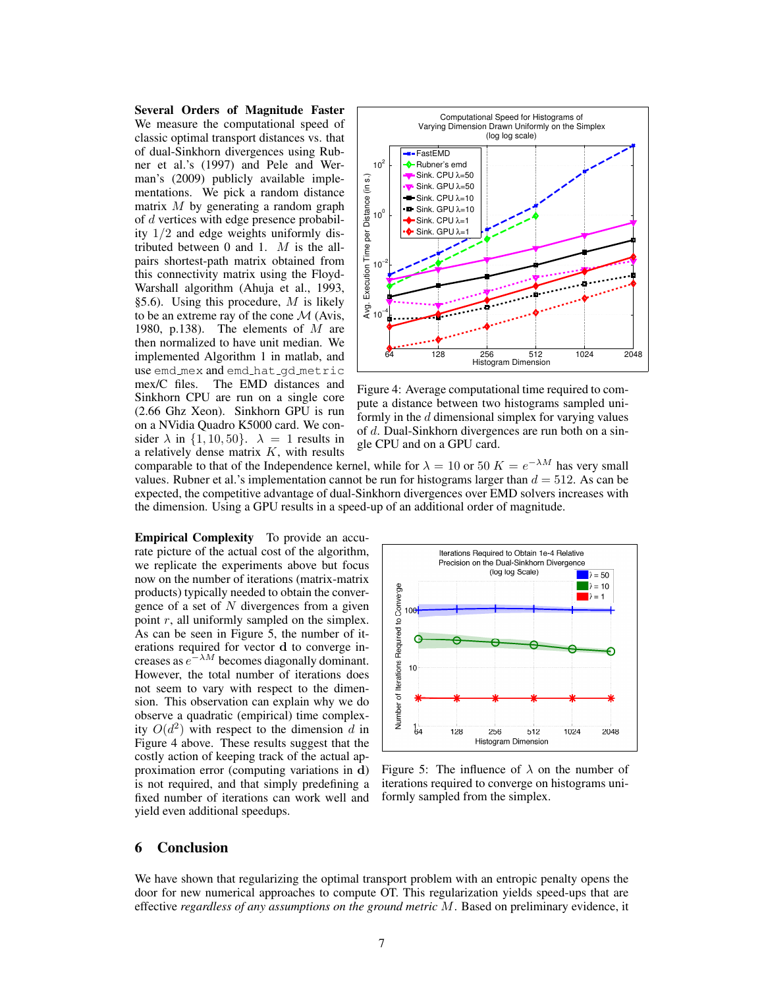Several Orders of Magnitude Faster We measure the computational speed of classic optimal transport distances vs. that of dual-Sinkhorn divergences using Rubner et al.'s (1997) and Pele and Werman's (2009) publicly available implementations. We pick a random distance matrix  $M$  by generating a random graph of d vertices with edge presence probability 1/2 and edge weights uniformly distributed between  $0$  and  $1$ .  $M$  is the allpairs shortest-path matrix obtained from this connectivity matrix using the Floyd-Warshall algorithm (Ahuja et al., 1993, §5.6). Using this procedure,  $M$  is likely to be an extreme ray of the cone  $\mathcal M$  (Avis, 1980, p.138). The elements of  $M$  are then normalized to have unit median. We implemented Algorithm 1 in matlab, and use emd\_mex and emd\_hat\_gd\_metric mex/C files. The EMD distances and Sinkhorn CPU are run on a single core (2.66 Ghz Xeon). Sinkhorn GPU is run on a NVidia Quadro K5000 card. We consider  $\lambda$  in  $\{1, 10, 50\}$ .  $\lambda = 1$  results in a relatively dense matrix  $K$ , with results



Figure 4: Average computational time required to compute a distance between two histograms sampled uniformly in the  $d$  dimensional simplex for varying values of d. Dual-Sinkhorn divergences are run both on a single CPU and on a GPU card.

comparable to that of the Independence kernel, while for  $\lambda = 10$  or  $50$   $K = e^{-\lambda M}$  has very small values. Rubner et al.'s implementation cannot be run for histograms larger than  $d = 512$ . As can be expected, the competitive advantage of dual-Sinkhorn divergences over EMD solvers increases with the dimension. Using a GPU results in a speed-up of an additional order of magnitude.

Empirical Complexity To provide an accurate picture of the actual cost of the algorithm, we replicate the experiments above but focus now on the number of iterations (matrix-matrix products) typically needed to obtain the convergence of a set of  $N$  divergences from a given point  $r$ , all uniformly sampled on the simplex. As can be seen in Figure 5, the number of iterations required for vector d to converge increases as  $e^{-\lambda M}$  becomes diagonally dominant. However, the total number of iterations does not seem to vary with respect to the dimension. This observation can explain why we do observe a quadratic (empirical) time complexity  $O(d^2)$  with respect to the dimension d in Figure 4 above. These results suggest that the costly action of keeping track of the actual approximation error (computing variations in d) is not required, and that simply predefining a fixed number of iterations can work well and yield even additional speedups.



Figure 5: The influence of  $\lambda$  on the number of iterations required to converge on histograms uniformly sampled from the simplex.

# 6 Conclusion

We have shown that regularizing the optimal transport problem with an entropic penalty opens the door for new numerical approaches to compute OT. This regularization yields speed-ups that are effective *regardless of any assumptions on the ground metric* M. Based on preliminary evidence, it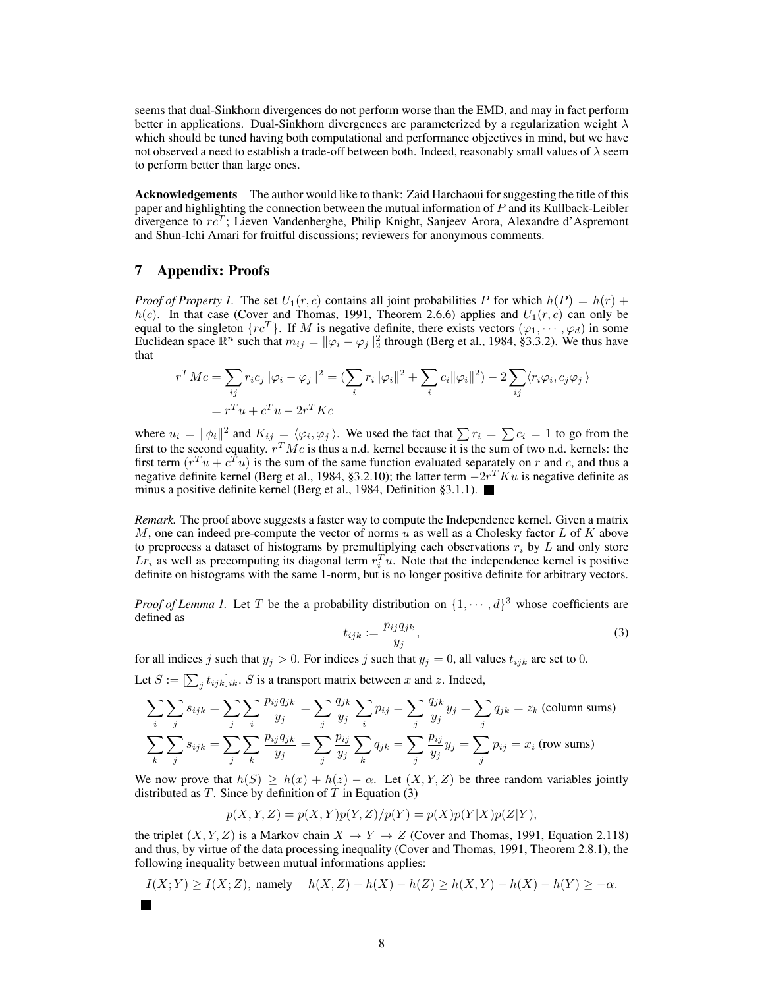seems that dual-Sinkhorn divergences do not perform worse than the EMD, and may in fact perform better in applications. Dual-Sinkhorn divergences are parameterized by a regularization weight  $\lambda$ which should be tuned having both computational and performance objectives in mind, but we have not observed a need to establish a trade-off between both. Indeed, reasonably small values of  $\lambda$  seem to perform better than large ones.

Acknowledgements The author would like to thank: Zaid Harchaoui for suggesting the title of this paper and highlighting the connection between the mutual information of P and its Kullback-Leibler divergence to  $r\bar{c}^T$ ; Lieven Vandenberghe, Philip Knight, Sanjeev Arora, Alexandre d'Aspremont and Shun-Ichi Amari for fruitful discussions; reviewers for anonymous comments.

## 7 Appendix: Proofs

*Proof of Property 1.* The set  $U_1(r, c)$  contains all joint probabilities P for which  $h(P) = h(r) +$  $h(c)$ . In that case (Cover and Thomas, 1991, Theorem 2.6.6) applies and  $U_1(r, c)$  can only be equal to the singleton  $\{rc^T\}$ . If M is negative definite, there exists vectors  $(\varphi_1, \dots, \varphi_d)$  in some Euclidean space  $\mathbb{R}^n$  such that  $m_{ij} = ||\varphi_i - \varphi_j||_2^2$  through (Berg et al., 1984, §3.3.2). We thus have that

$$
r^T M c = \sum_{ij} r_i c_j ||\varphi_i - \varphi_j||^2 = \left(\sum_i r_i ||\varphi_i||^2 + \sum_i c_i ||\varphi_i||^2\right) - 2 \sum_{ij} \langle r_i \varphi_i, c_j \varphi_j \rangle
$$
  
=  $r^T u + c^T u - 2r^T K c$ 

where  $u_i = ||\phi_i||^2$  and  $K_{ij} = \langle \varphi_i, \varphi_j \rangle$ . We used the fact that  $\sum r_i = \sum c_i = 1$  to go from the first to the second equality.  $r^T M c$  is thus a n.d. kernel because it is the sum of two n.d. kernels: the first term  $(r^T u + c^T u)$  is the sum of the same function evaluated separately on r and c, and thus a negative definite kernel (Berg et al., 1984, §3.2.10); the latter term  $-2r^T K u$  is negative definite as minus a positive definite kernel (Berg et al., 1984, Definition §3.1.1).

*Remark.* The proof above suggests a faster way to compute the Independence kernel. Given a matrix M, one can indeed pre-compute the vector of norms u as well as a Cholesky factor  $L$  of  $K$  above to preprocess a dataset of histograms by premultiplying each observations  $r_i$  by  $L$  and only store  $Lr_i$  as well as precomputing its diagonal term  $r_i^T u$ . Note that the independence kernel is positive definite on histograms with the same 1-norm, but is no longer positive definite for arbitrary vectors.

*Proof of Lemma 1.* Let T be the a probability distribution on  $\{1, \dots, d\}^3$  whose coefficients are defined as

$$
t_{ijk} := \frac{p_{ij}q_{jk}}{y_j},\tag{3}
$$

for all indices j such that  $y_j > 0$ . For indices j such that  $y_j = 0$ , all values  $t_{ijk}$  are set to 0.

Let  $S := [\sum_j t_{ijk}]_{ik}$ . S is a transport matrix between x and z. Indeed,

$$
\sum_{i} \sum_{j} s_{ijk} = \sum_{j} \sum_{i} \frac{p_{ij} q_{jk}}{y_j} = \sum_{j} \frac{q_{jk}}{y_j} \sum_{i} p_{ij} = \sum_{j} \frac{q_{jk}}{y_j} y_j = \sum_{j} q_{jk} = z_k \text{ (column sums)}
$$
  

$$
\sum_{k} \sum_{j} s_{ijk} = \sum_{j} \sum_{k} \frac{p_{ij} q_{jk}}{y_j} = \sum_{j} \frac{p_{ij}}{y_j} \sum_{k} q_{jk} = \sum_{j} \frac{p_{ij}}{y_j} y_j = \sum_{j} p_{ij} = x_i \text{ (row sums)}
$$

We now prove that  $h(S) \geq h(x) + h(z) - \alpha$ . Let  $(X, Y, Z)$  be three random variables jointly distributed as  $T$ . Since by definition of  $T$  in Equation (3)

$$
p(X, Y, Z) = p(X, Y)p(Y, Z)/p(Y) = p(X)p(Y|X)p(Z|Y),
$$

the triplet  $(X, Y, Z)$  is a Markov chain  $X \to Y \to Z$  (Cover and Thomas, 1991, Equation 2.118) and thus, by virtue of the data processing inequality (Cover and Thomas, 1991, Theorem 2.8.1), the following inequality between mutual informations applies:

$$
I(X;Y) \ge I(X;Z),
$$
 namely  $h(X,Z) - h(X) - h(Z) \ge h(X,Y) - h(X) - h(Y) \ge -\alpha$ .